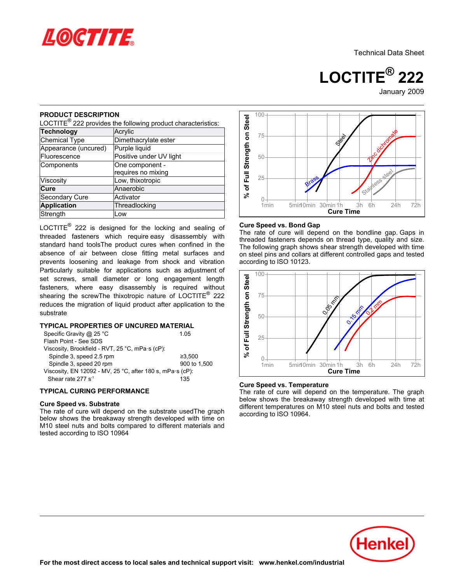

Technical Data Sheet

**LOCTITE® 222** 

January-2009

### **PRODUCT DESCRIPTION**

nessed BESSIM TISK<br>LOCTITE<sup>®</sup> 222 provides the following product characteristics:

| <b>Technology</b>    | Acrylic                 |  |  |  |
|----------------------|-------------------------|--|--|--|
| <b>Chemical Type</b> | Dimethacrylate ester    |  |  |  |
| Appearance (uncured) | Purple liquid           |  |  |  |
| Fluorescence         | Positive under UV light |  |  |  |
| Components           | One component -         |  |  |  |
|                      | requires no mixing      |  |  |  |
| Viscosity            | Low, thixotropic        |  |  |  |
| Cure                 | Anaerobic               |  |  |  |
| Secondary Cure       | Activator               |  |  |  |
| <b>Application</b>   | Threadlocking           |  |  |  |
| Strength             | Low                     |  |  |  |

LOCTITE $^{\circledR}$  222 is designed for the locking and sealing of threaded fasteners which require easy disassembly with standard hand toolsThe product cures when confined in the absence of air between close fitting metal surfaces and prevents loosening and leakage from shock and vibration Particularly suitable for applications such as adjustment of set screws, small diameter or long engagement length fasteners, where easy disassembly is required without shearing the screwThe thixotropic nature of LOCTITE<sup>®</sup> 222 reduces the migration of liquid product after application to the substrate

## **TYPICAL PROPERTIES OF UNCURED MATERIAL**

| Specific Gravity @ 25 $^{\circ}$ C                        | 1 05         |
|-----------------------------------------------------------|--------------|
| Flash Point - See SDS                                     |              |
| Viscosity, Brookfield - RVT, 25 °C, mPa·s (cP):           |              |
| Spindle 3, speed 2.5 rpm                                  | ≥3.500       |
| Spindle 3, speed 20 rpm                                   | 900 to 1,500 |
| Viscosity, EN 12092 - MV, 25 °C, after 180 s, mPa·s (cP): |              |
| Shear rate 277 s <sup>-1</sup>                            | 135          |
|                                                           |              |

# **TYPICAL CURING PERFORMANCE**

### **Cure Speed vs. Substrate**

oure opeed vs. oubstrate<br>The rate of cure will depend on the substrate usedThe graph below shows the breakaway strength developed with time on M10 steel nuts and bolts compared to different materials and who steer hats and boits con-<br>tested according to ISO 10964



#### **Cure Speed vs. Bond Gap**

The rate of cure will depend on the bondline gap. Gaps in The rate of early will depend on the bondline gap. Gaps in The following graph shows shear strength developed with time on steel pins and collars at different controlled gaps and tested on sicci pins and collars<br>according to ISO 10123.



## **Cure Speed vs. Temperature**

The rate of cure will depend on the temperature. The graph below shows the breakaway strength developed with time at different temperatures on M10 steel nuts and bolts and tested amerent temperatures of<br>according to ISO 10964.

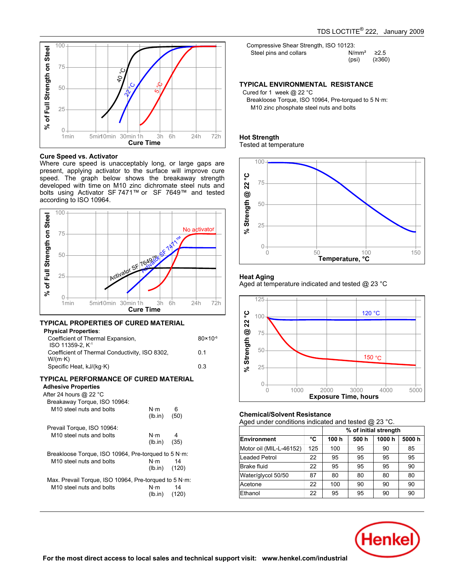

### **Cure Speed vs. Activator**

Where cure speed is unacceptably long, or large gaps are present, applying activator to the surface will improve cure present, applying activator to the sanace will improve care<br>speed. The graph below shows the breakaway strength developed with time on M10 zinc dichromate steel nuts and bolts using Activator SF 7471™ or SF 7649™ and tested bolts dailig Activator<br>according to ISO 10964.



#### **TYPICAL PROPERTIES OF CURED MATERIAL Physical**

| <b>Physical Properties:</b>                                       |                     |
|-------------------------------------------------------------------|---------------------|
| Coefficient of Thermal Expansion,<br>ISO 11359-2, K <sup>-1</sup> | $80 \times 10^{-6}$ |
| Coefficient of Thermal Conductivity, ISO 8302,<br>$W/(m \cdot K)$ | 0.1                 |
| Specific Heat, kJ/(kg·K)                                          | 03                  |
|                                                                   |                     |

# **TYPICAL PERFORMANCE OF CURED MATERIAL**

# **Adhesive Properties**

| After 24 hours @ 22 °C                                |                 |      |
|-------------------------------------------------------|-----------------|------|
| Breakaway Torque, ISO 10964:                          |                 |      |
| M <sub>10</sub> steel nuts and bolts                  | N·m             | - 6  |
|                                                       | (lb.in)         | (50) |
| Prevail Torque, ISO 10964:                            |                 |      |
| M <sub>10</sub> steel nuts and bolts                  | N⋅m             | - 4  |
|                                                       | $(lb.in)$ (35)  |      |
| Breakloose Torque, ISO 10964, Pre-torqued to 5 N·m:   |                 |      |
| M <sub>10</sub> steel nuts and bolts                  | $N \cdot m$ 14  |      |
|                                                       | $(lb.in)$ (120) |      |
| Max. Prevail Torque, ISO 10964, Pre-torqued to 5 N·m: |                 |      |
| M <sub>10</sub> steel nuts and bolts                  | $N \cdot m$     | - 14 |
|                                                       | $(lb.in)$ (120) |      |
|                                                       |                 |      |

Compressive Shear Strength, ISO 10123: Steel pins and collars N/mm² ≥2.5 (psi) (≥360)

#### **TYPICAL ENVIRONMENTAL RESISTANCE**

Cured for 1 week @ 22 °C

Breakloose Torque, ISO 10964, Pre-torqued to 5 N·m: M10 zinc phosphate steel nuts and bolts

#### **Hot Strength** not otrengtn<br>Tested at temperature



# **Heat Aging**

Aged at temperature indicated and tested @ 23 °C



# **Chemical/Solvent Resistance**

Aged under conditions indicated and tested @ 23 °C.

|                         |     | % of initial strength |      |       |       |
|-------------------------|-----|-----------------------|------|-------|-------|
| Environment             | °C  | 100 h                 | 500h | 1000h | 5000h |
| Motor oil (MIL-L-46152) | 125 | 100                   | 95   | 90    | 85    |
| Leaded Petrol           | 22  | 95                    | 95   | 95    | 95    |
| Brake fluid             | 22  | 95                    | 95   | 95    | 90    |
| Water/glycol 50/50      | 87  | 80                    | 80   | 80    | 80    |
| Acetone                 | 22  | 100                   | 90   | 90    | 90    |
| Ethanol                 | 22  | 95                    | 95   | 90    | 90    |

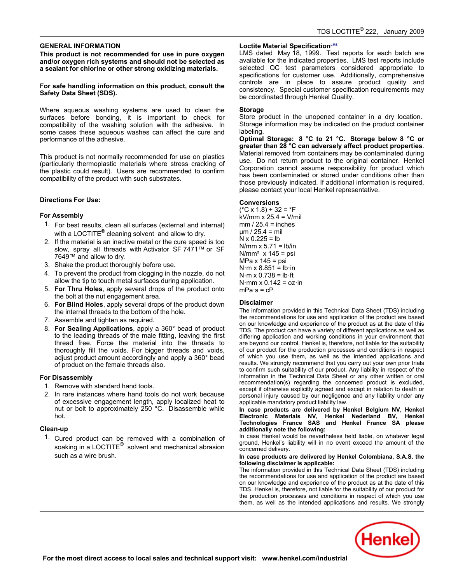### **GENERAL INFORMATION**

**This product is not recommended for use in pure oxygen and/or oxygen rich systems and should not be selected as a sealant for chlorine or other strong oxidizing materials.**

#### **For safe handling information on this product, consult the Safety Data Sheet (SDS).**

Where aqueous washing systems are used to clean the surfaces before bonding, it is important to check for compatibility of the washing solution with the adhesive. In some cases these aqueous washes can affect the cure and performance of the adhesive.

This product is not normally recommended for use on plastics (particularly thermoplastic materials where stress cracking of the plastic could result). Users are recommended to confirm are plastic codid resulty. Obers are recommentationally

### **Directions For Use:**

### **For Assembly**

- 1. For best results, clean all surfaces (external and internal) or best results, clearly all surfaces (externational in<br>with a LOCTITE® cleaning solvent and allow to dry.
- 2. If the material is an inactive metal or the cure speed is too slow, spray all threads with Activator SF 7471™ or SF 7649™ and allow to dry.
- 3. Shake the product thoroughly before use.
- 4. To prevent the product from clogging in the nozzle, do not allow the tip to touch metal surfaces during application.
- 5. **For Thru Holes**, apply several drops of the product onto **the bolt at the nut engagement area.**<br>the bolt at the nut engagement area.
- 6. **For Blind Holes**, apply several drops of the product down **the internal threads to the bottom of the hole.**<br>the internal threads to the bottom of the hole.
- **7.** Assemble and tighten as required.
- 8. **For Sealing Applications**, apply a 360° bead of product to the leading Applications, apply a 300 secar of product<br>to the leading threads of the male fitting, leaving the first to the leading threads of the material into the threads to<br>thread free. Force the material into the threads to thoroughly fill the voids. For bigger threads and voids, aloroughly in the volus. Tor bigger threads and volus,<br>adjust product amount accordingly and apply a 360° bead adjust product amount accordingly an<br>of product on the female threads also.

## **For Disassembly**

- <sup>2</sup>. Presedentury<br>1. Remove with standard hand tools.
- 2. In rare instances where hand tools do not work because of excessive engagement length, apply localized heat to nut or bolt to approximately 250 °C. Disassemble while nut<br>hot.

# **Clean-up**

1. Cured product can be removed with a combination of soaking in a LOCTITE<sup>®</sup> solvent and mechanical abrasion<br>soaking in a LOCTITE<sup>®</sup> solvent and mechanical abrasion such as a wire brush.

#### **Loctite Material SpecificationLMS**

LMS dated May-18, 1999. Test reports for each batch are available for the indicated properties. LMS test reports include selected QC test parameters considered appropriate to specifications for customer use. Additionally, comprehensive controls are in place to assure product quality and consistency. Special customer specification requirements may be coordinated through Henkel Quality.

#### **Storage**

Store product in the unopened container in a dry location. Storage information may be indicated on the product container labeling.

**Optimal Storage: 8 °C to 21 °C. Storage below 8 °C or greater than 28 °C can adversely affect product properties**. greater than 20 S can adversely affect product properties.<br>Material removed from containers may be contaminated during use. Do not return product to the original container. Henkel ase. Be not retain product to the original container. Hence<br>Corporation cannot assume responsibility for product which has been contaminated or stored under conditions other than those previously indicated. If additional information is required, mose previously indicated. In additional imormative.<br>please contact your local Henkel representative.

### **Conversions**

(°C x 1.8) + 32 = °F kV/mm x 25.4 = V/mil mm / 25.4 = inches µm / 25.4 = mil N x 0.225 = lb N/mm x 5.71 = lb/in N/mm² x 145 = psi MPa x 145 = psi N·m x 8.851 = lb·in N·m x 0.738 = lb·ft N·mm x 0.142 = oz·in mPa·s = cP

#### **Disclaimer**

The information provided in this Technical Data Sheet (TDS) including the information provided in this Technical Data Griect (TDO) including<br>the recommendations for use and application of the product are based on our knowledge and experience of the product as at the date of this on our mismissige and experience or the product as at the date of this<br>TDS. The product can have a variety of different applications as well as differing application and working conditions in your environment that are beyond our control. Henkel is, therefore, not liable for the suitability of our product for the production processes and conditions in respect of which you use them, as well as the intended applications and or which you use them, as well as the interface applications and<br>results. We strongly recommend that you carry out your own prior trials to confirm such suitability of our product. Any liability in respect of the information in the Technical Data Sheet or any other written or oral recommendation(s) regarding the concerned product is excluded, except if otherwise explicitly agreed and except in relation to death or personal injury caused by our negligence and any liability under any applicable mandatory product liability law.

**In case products are delivered by Henkel Belgium NV, Henkel Electronic Materials NV, Henkel Nederland BV, Henkel Technologies France SAS and Henkel France SA please additionally note the following:**

additionally fiote the renowing:<br>In case Henkel would be nevertheless held liable, on whatever legal ground, Henkel's liability will in no event exceed the amount of the concerned delivery.

#### **In case products are delivered by Henkel Colombiana, S.A.S. the following disclaimer is applicable:**

The information provided in this Technical Data Sheet (TDS) including the information provided in this Technical Bata Sheet (1.Be) including<br>the recommendations for use and application of the product are based on our knowledge and experience of the product as at the date of this TDS. Henkel is, therefore, not liable for the suitability of our product for TBB. Tichild is, increases and conditions in respect of which you use them, as well as the intended applications and results. We strongly